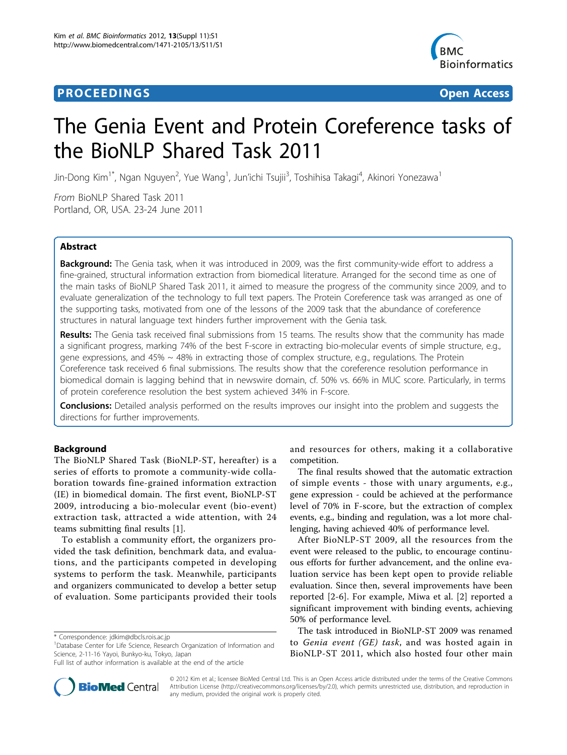# **PROCEEDINGS STATE ACCESS CONSUMING SECTION CONSUMING SECTION CONSUMING SECTION CONSUMING SECTION CONSUMING SECTION CONSUMING SECTION CONSUMING SECTION CONSUMING SECTION CONSUMING SECTION CONSUMING SECTION CONSUMING SE**



# The Genia Event and Protein Coreference tasks of the BioNLP Shared Task 2011

Jin-Dong Kim<sup>1\*</sup>, Ngan Nguyen<sup>2</sup>, Yue Wang<sup>1</sup>, Jun'ichi Tsujii<sup>3</sup>, Toshihisa Takagi<sup>4</sup>, Akinori Yonezawa<sup>1</sup>

From BioNLP Shared Task 2011 Portland, OR, USA. 23-24 June 2011

# Abstract

**Background:** The Genia task, when it was introduced in 2009, was the first community-wide effort to address a fine-grained, structural information extraction from biomedical literature. Arranged for the second time as one of the main tasks of BioNLP Shared Task 2011, it aimed to measure the progress of the community since 2009, and to evaluate generalization of the technology to full text papers. The Protein Coreference task was arranged as one of the supporting tasks, motivated from one of the lessons of the 2009 task that the abundance of coreference structures in natural language text hinders further improvement with the Genia task.

Results: The Genia task received final submissions from 15 teams. The results show that the community has made a significant progress, marking 74% of the best F-score in extracting bio-molecular events of simple structure, e.g., gene expressions, and 45% ~ 48% in extracting those of complex structure, e.g., regulations. The Protein Coreference task received 6 final submissions. The results show that the coreference resolution performance in biomedical domain is lagging behind that in newswire domain, cf. 50% vs. 66% in MUC score. Particularly, in terms of protein coreference resolution the best system achieved 34% in F-score.

**Conclusions:** Detailed analysis performed on the results improves our insight into the problem and suggests the directions for further improvements.

# Background

The BioNLP Shared Task (BioNLP-ST, hereafter) is a series of efforts to promote a community-wide collaboration towards fine-grained information extraction (IE) in biomedical domain. The first event, BioNLP-ST 2009, introducing a bio-molecular event (bio-event) extraction task, attracted a wide attention, with 24 teams submitting final results [[1](#page-11-0)].

To establish a community effort, the organizers provided the task definition, benchmark data, and evaluations, and the participants competed in developing systems to perform the task. Meanwhile, participants and organizers communicated to develop a better setup of evaluation. Some participants provided their tools



The final results showed that the automatic extraction of simple events - those with unary arguments, e.g., gene expression - could be achieved at the performance level of 70% in F-score, but the extraction of complex events, e.g., binding and regulation, was a lot more challenging, having achieved 40% of performance level.

After BioNLP-ST 2009, all the resources from the event were released to the public, to encourage continuous efforts for further advancement, and the online evaluation service has been kept open to provide reliable evaluation. Since then, several improvements have been reported [\[2](#page-11-0)-[6](#page-11-0)]. For example, Miwa et al. [[2](#page-11-0)] reported a significant improvement with binding events, achieving 50% of performance level.

The task introduced in BioNLP-ST 2009 was renamed to Genia event (GE) task, and was hosted again in BioNLP-ST 2011, which also hosted four other main



© 2012 Kim et al.; licensee BioMed Central Ltd. This is an Open Access article distributed under the terms of the Creative Commons Attribution License [\(http://creativecommons.org/licenses/by/2.0](http://creativecommons.org/licenses/by/2.0)), which permits unrestricted use, distribution, and reproduction in any medium, provided the original work is properly cited.

<sup>\*</sup> Correspondence: [jdkim@dbcls.rois.ac.jp](mailto:jdkim@dbcls.rois.ac.jp)

<sup>&</sup>lt;sup>1</sup>Database Center for Life Science, Research Organization of Information and Science, 2-11-16 Yayoi, Bunkyo-ku, Tokyo, Japan

Full list of author information is available at the end of the article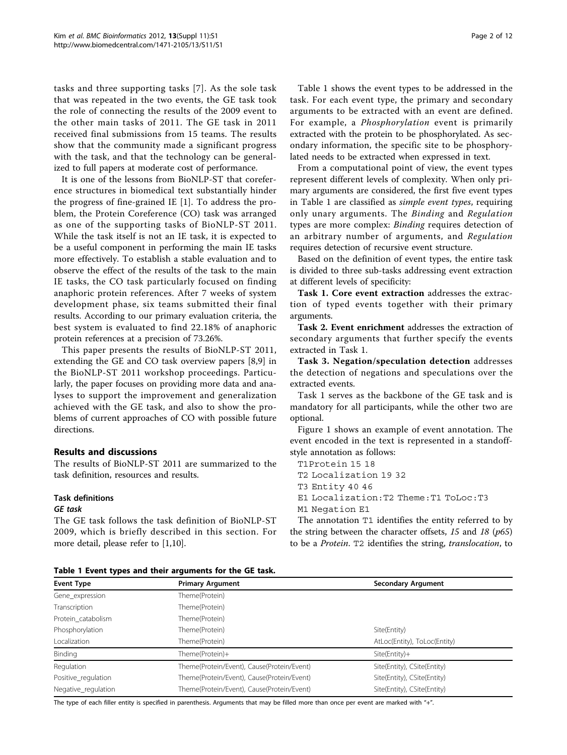<span id="page-1-0"></span>tasks and three supporting tasks [[7](#page-11-0)]. As the sole task that was repeated in the two events, the GE task took the role of connecting the results of the 2009 event to the other main tasks of 2011. The GE task in 2011 received final submissions from 15 teams. The results show that the community made a significant progress with the task, and that the technology can be generalized to full papers at moderate cost of performance.

It is one of the lessons from BioNLP-ST that coreference structures in biomedical text substantially hinder the progress of fine-grained IE [[1\]](#page-11-0). To address the problem, the Protein Coreference (CO) task was arranged as one of the supporting tasks of BioNLP-ST 2011. While the task itself is not an IE task, it is expected to be a useful component in performing the main IE tasks more effectively. To establish a stable evaluation and to observe the effect of the results of the task to the main IE tasks, the CO task particularly focused on finding anaphoric protein references. After 7 weeks of system development phase, six teams submitted their final results. According to our primary evaluation criteria, the best system is evaluated to find 22.18% of anaphoric protein references at a precision of 73.26%.

This paper presents the results of BioNLP-ST 2011, extending the GE and CO task overview papers [[8,9\]](#page-11-0) in the BioNLP-ST 2011 workshop proceedings. Particularly, the paper focuses on providing more data and analyses to support the improvement and generalization achieved with the GE task, and also to show the problems of current approaches of CO with possible future directions.

## Results and discussions

The results of BioNLP-ST 2011 are summarized to the task definition, resources and results.

## Task definitions

#### GE task

The GE task follows the task definition of BioNLP-ST 2009, which is briefly described in this section. For more detail, please refer to [\[1,10](#page-11-0)].

Table 1 shows the event types to be addressed in the task. For each event type, the primary and secondary arguments to be extracted with an event are defined. For example, a Phosphorylation event is primarily extracted with the protein to be phosphorylated. As secondary information, the specific site to be phosphorylated needs to be extracted when expressed in text.

From a computational point of view, the event types represent different levels of complexity. When only primary arguments are considered, the first five event types in Table 1 are classified as simple event types, requiring only unary arguments. The Binding and Regulation types are more complex: Binding requires detection of an arbitrary number of arguments, and Regulation requires detection of recursive event structure.

Based on the definition of event types, the entire task is divided to three sub-tasks addressing event extraction at different levels of specificity:

Task 1. Core event extraction addresses the extraction of typed events together with their primary arguments.

Task 2. Event enrichment addresses the extraction of secondary arguments that further specify the events extracted in Task 1.

Task 3. Negation/speculation detection addresses the detection of negations and speculations over the extracted events.

Task 1 serves as the backbone of the GE task and is mandatory for all participants, while the other two are optional.

Figure [1](#page-2-0) shows an example of event annotation. The event encoded in the text is represented in a standoffstyle annotation as follows:

T1Protein 15 18

T2 Localization 19 32

T3 Entity 40 46

E1 Localization: T2 Theme: T1 ToLoc: T3

M1 Negation E1

The annotation T1 identifies the entity referred to by<br>estring between the character offsets, 15 and 18 ( $n65$ ) the string between the character offsets, 15 and 18  $(p65)$ to be a Protein. T2 identifies the string, translocation, to

Table 1 Event types and their arguments for the GE task.

| <b>Event Type</b>   | <b>Primary Argument</b>                    | <b>Secondary Argument</b>    |  |
|---------------------|--------------------------------------------|------------------------------|--|
| Gene_expression     | [heme(Protein)                             |                              |  |
| Transcription       | Theme(Protein)                             |                              |  |
| Protein catabolism  | Theme(Protein)                             |                              |  |
| Phosphorylation     | [heme(Protein)                             | Site(Entity)                 |  |
| Localization        | [heme(Protein)                             | AtLoc(Entity), ToLoc(Entity) |  |
| Binding             | Theme(Protein)+                            | $Site(Entity) +$             |  |
| Regulation          | Theme(Protein/Event), Cause(Protein/Event) | Site(Entity), CSite(Entity)  |  |
| Positive_regulation | Theme(Protein/Event), Cause(Protein/Event) | Site(Entity), CSite(Entity)  |  |
| Negative_regulation | [heme(Protein/Event), Cause(Protein/Event) | Site(Entity), CSite(Entity)  |  |

The type of each filler entity is specified in parenthesis. Arguments that may be filled more than once per event are marked with "+".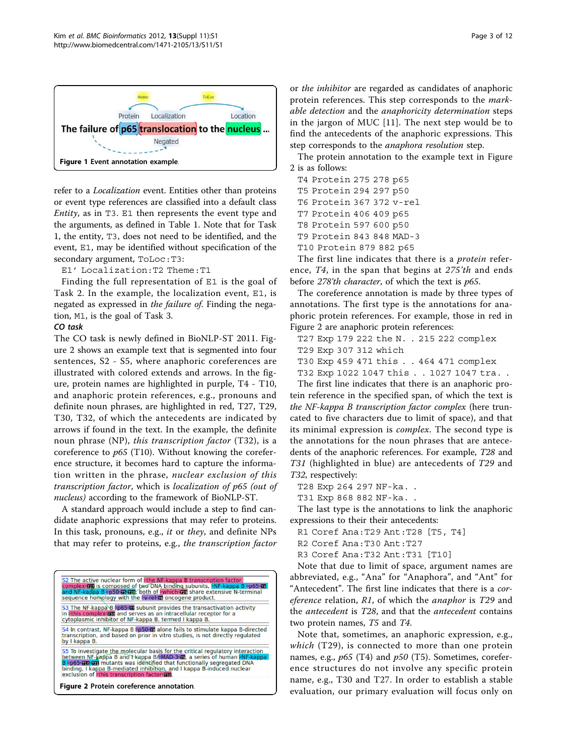<span id="page-2-0"></span>

refer to a Localization event. Entities other than proteins or event type references are classified into a default class Entity, as in T3. E1 then represents the event type and the arguments, as defined in Table [1](#page-1-0). Note that for Task 1, the entity, T3, does not need to be identified, and the event, E1, may be identified without specification of the secondary argument, ToLoc:T3:

E1' Localization:T2 Theme:T1

Finding the full representation of E1 is the goal of Task 2. In the example, the localization event, E1, is negated as expressed in the failure of. Finding the negation, M1, is the goal of Task 3.

#### CO task

The CO task is newly defined in BioNLP-ST 2011. Figure 2 shows an example text that is segmented into four sentences, S2 - S5, where anaphoric coreferences are illustrated with colored extends and arrows. In the figure, protein names are highlighted in purple, T4 - T10, and anaphoric protein references, e.g., pronouns and definite noun phrases, are highlighted in red, T27, T29, T30, T32, of which the antecedents are indicated by arrows if found in the text. In the example, the definite noun phrase (NP), this transcription factor (T32), is a coreference to  $p65$  (T10). Without knowing the coreference structure, it becomes hard to capture the information written in the phrase, nuclear exclusion of this transcription factor, which is localization of p65 (out of nucleus) according to the framework of BioNLP-ST.

A standard approach would include a step to find candidate anaphoric expressions that may refer to proteins. In this task, pronouns, e.g., it or they, and definite NPs that may refer to proteins, e.g., the transcription factor



or the inhibitor are regarded as candidates of anaphoric protein references. This step corresponds to the markable detection and the anaphoricity determination steps in the jargon of MUC [\[11\]](#page-11-0). The next step would be to find the antecedents of the anaphoric expressions. This step corresponds to the anaphora resolution step.

The protein annotation to the example text in Figure 2 is as follows:

- T4 Protein 275 278 p65
- 

T6 Protein 367 372 v-rel

- T7 Protein 406 409 p65
- T8 Protein 597 600 p50
- T9 Protein 843 848 MAD-3

T10 Protein 879 882 p65

The first line indicates that there is a *protein* reference, T4, in the span that begins at 275'th and ends before 278'th character, of which the text is p65.

The coreference annotation is made by three types of annotations. The first type is the annotations for anaphoric protein references. For example, those in red in Figure 2 are anaphoric protein references:

T27 Exp 179 222 the N. . 215 222 complex T30 Exp 459 471 this . . 464 471 complex

T32 Exp 1022 1047 this . . 1027 1047 tra. .

The first line indicates that there is an anaphoric protein reference in the specified span, of which the text is the NF-kappa B transcription factor complex (here truncated to five characters due to limit of space), and that its minimal expression is complex. The second type is the annotations for the noun phrases that are antecedents of the anaphoric references. For example, T28 and T31 (highlighted in blue) are antecedents of T29 and T32, respectively:

T28 Exp 264 297 NF-ka..<br>T31 Exp 868 882 NF-ka..

The last type is the annotations to link the anaphoric expressions to their their antecedents:

R1 Coref Ana:T29 Ant:T28 [T5, T4]

R3 Coref Ana:T32 Ant:T31 [T10]

Note that due to limit of space, argument names are abbreviated, e.g., "Ana" for "Anaphora", and "Ant" for "Antecedent". The first line indicates that there is a coreference relation, R1, of which the *anaphor* is T29 and the antecedent is T28, and that the antecedent contains two protein names, T5 and T4.

Note that, sometimes, an anaphoric expression, e.g., which  $(T29)$ , is connected to more than one protein names, e.g.,  $p65$  (T4) and  $p50$  (T5). Sometimes, coreference structures do not involve any specific protein name, e.g., T30 and T27. In order to establish a stable evaluation, our primary evaluation will focus only on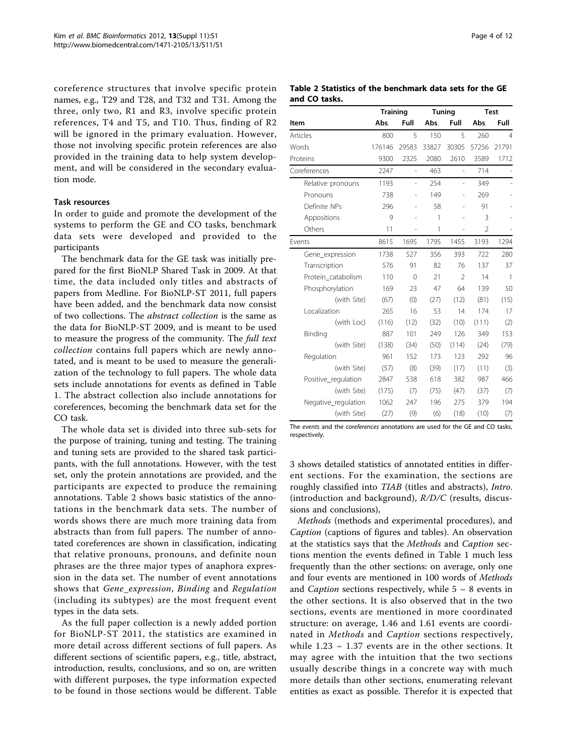<span id="page-3-0"></span>coreference structures that involve specific protein names, e.g., T29 and T28, and T32 and T31. Among the three, only two, R1 and R3, involve specific protein references, T4 and T5, and T10. Thus, finding of R2 will be ignored in the primary evaluation. However, those not involving specific protein references are also provided in the training data to help system development, and will be considered in the secondary evaluation mode.

## Task resources

In order to guide and promote the development of the systems to perform the GE and CO tasks, benchmark data sets were developed and provided to the participants

The benchmark data for the GE task was initially prepared for the first BioNLP Shared Task in 2009. At that time, the data included only titles and abstracts of papers from Medline. For BioNLP-ST 2011, full papers have been added, and the benchmark data now consist of two collections. The abstract collection is the same as the data for BioNLP-ST 2009, and is meant to be used to measure the progress of the community. The full text collection contains full papers which are newly annotated, and is meant to be used to measure the generalization of the technology to full papers. The whole data sets include annotations for events as defined in Table [1.](#page-1-0) The abstract collection also include annotations for coreferences, becoming the benchmark data set for the CO task.

The whole data set is divided into three sub-sets for the purpose of training, tuning and testing. The training and tuning sets are provided to the shared task participants, with the full annotations. However, with the test set, only the protein annotations are provided, and the participants are expected to produce the remaining annotations. Table 2 shows basic statistics of the annotations in the benchmark data sets. The number of words shows there are much more training data from abstracts than from full papers. The number of annotated coreferences are shown in classification, indicating that relative pronouns, pronouns, and definite noun phrases are the three major types of anaphora expression in the data set. The number of event annotations shows that Gene\_expression, Binding and Regulation (including its subtypes) are the most frequent event types in the data sets.

As the full paper collection is a newly added portion for BioNLP-ST 2011, the statistics are examined in more detail across different sections of full papers. As different sections of scientific papers, e.g., title, abstract, introduction, results, conclusions, and so on, are written with different purposes, the type information expected to be found in those sections would be different. Table

Table 2 Statistics of the benchmark data sets for the GE and CO tasks.

|                     | <b>Training</b> |                | Tuning |                | <b>Test</b>    |                |
|---------------------|-----------------|----------------|--------|----------------|----------------|----------------|
| Item                | Abs.            | Full           | Abs.   | Full           | Abs.           | Full           |
| Articles            | 800             | 5              | 150    | 5              | 260            | $\overline{4}$ |
| Words               | 176146          | 29583          | 33827  | 30305          | 57256          | 21791          |
| Proteins            | 9300            | 2325           | 2080   | 2610           | 3589           | 1712           |
| Coreferences        | 2247            | L,             | 463    | L,             | 714            |                |
| Relative pronouns   | 1193            | $\overline{a}$ | 254    | $\overline{a}$ | 349            |                |
| Pronouns            | 738             |                | 149    |                | 269            |                |
| Definite NPs        | 296             |                | 58     |                | 91             |                |
| Appositions         | 9               |                | 1      |                | 3              |                |
| Others              | 11              |                | 1      |                | $\overline{2}$ |                |
| Events              | 8615            | 1695           | 1795   | 1455           | 3193           | 1294           |
| Gene_expression     | 1738            | 527            | 356    | 393            | 722            | 280            |
| Transcription       | 576             | 91             | 82     | 76             | 137            | 37             |
| Protein catabolism  | 110             | $\Omega$       | 21     | $\mathfrak{D}$ | 14             | 1              |
| Phosphorylation     | 169             | 23             | 47     | 64             | 139            | 50             |
| (with Site)         | (67)            | (0)            | (27)   | (12)           | (81)           | (15)           |
| Localization        | 265             | 16             | 53     | 14             | 174            | 17             |
| (with Loc)          | (116)           | (12)           | (32)   | (10)           | (111)          | (2)            |
| Binding             | 887             | 101            | 249    | 126            | 349            | 153            |
| (with Site)         | (138)           | (34)           | (50)   | (114)          | (24)           | (79)           |
| Regulation          | 961             | 152            | 173    | 123            | 292            | 96             |
| (with Site)         | (57)            | (8)            | (39)   | (17)           | (11)           | (3)            |
| Positive_regulation | 2847            | 538            | 618    | 382            | 987            | 466            |
| (with Site)         | (175)           | (7)            | (75)   | (47)           | (37)           | (7)            |
| Negative_regulation | 1062            | 247            | 196    | 275            | 379            | 194            |
| (with Site)         | (27)            | (9)            | (6)    | (18)           | (10)           | (7)            |

The events and the coreferences annotations are used for the GE and CO tasks, respectively.

[3](#page-4-0) shows detailed statistics of annotated entities in different sections. For the examination, the sections are roughly classified into TIAB (titles and abstracts), Intro. (introduction and background),  $R/D/C$  (results, discussions and conclusions),

Methods (methods and experimental procedures), and Caption (captions of figures and tables). An observation at the statistics says that the Methods and Caption sections mention the events defined in Table [1](#page-1-0) much less frequently than the other sections: on average, only one and four events are mentioned in 100 words of Methods and *Caption* sections respectively, while  $5 \sim 8$  events in the other sections. It is also observed that in the two sections, events are mentioned in more coordinated structure: on average, 1.46 and 1.61 events are coordinated in Methods and Caption sections respectively, while  $1.23 \sim 1.37$  events are in the other sections. It may agree with the intuition that the two sections usually describe things in a concrete way with much more details than other sections, enumerating relevant entities as exact as possible. Therefor it is expected that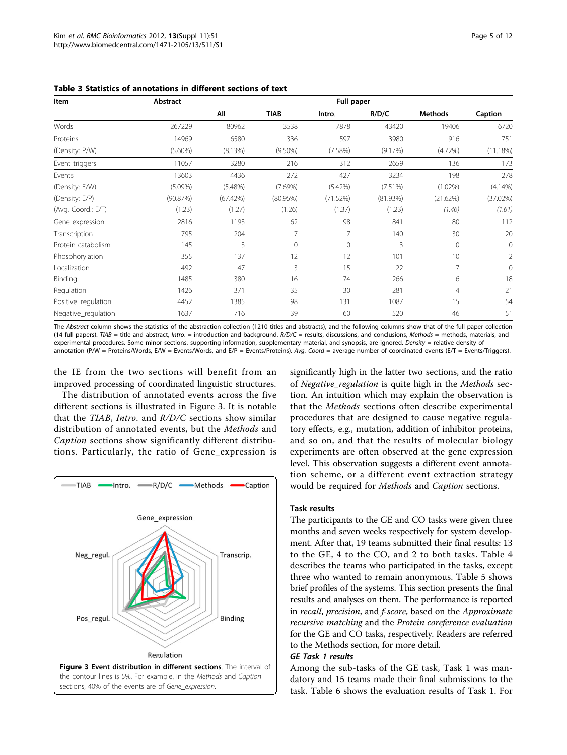| Item                | Abstract   |            |              | Full paper |          |                |                |  |
|---------------------|------------|------------|--------------|------------|----------|----------------|----------------|--|
|                     |            | All        | <b>TIAB</b>  | Intro.     | R/D/C    | <b>Methods</b> | Caption        |  |
| Words               | 267229     | 80962      | 3538         | 7878       | 43420    | 19406          | 6720           |  |
| Proteins            | 14969      | 6580       | 336          | 597        | 3980     | 916            | 751            |  |
| (Density: P/W)      | $(5.60\%)$ | (8.13%)    | $(9.50\%)$   | (7.58%)    | (9.17%)  | $(4.72\%)$     | (11.18%)       |  |
| Event triggers      | 11057      | 3280       | 216          | 312        | 2659     | 136            | 173            |  |
| Events              | 13603      | 4436       | 272          | 427        | 3234     | 198            | 278            |  |
| (Density: E/W)      | $(5.09\%)$ | $(5.48\%)$ | (7.69%)      | (5.42%)    | (7.51%)  | $(1.02\%)$     | $(4.14\%)$     |  |
| (Density: E/P)      | (90.87%)   | (67.42%)   | $(80.95\%)$  | (71.52%)   | (81.93%) | (21.62%)       | (37.02%)       |  |
| (Avg. Coord.: E/T)  | (1.23)     | (1.27)     | (1.26)       | (1.37)     | (1.23)   | (1.46)         | (1.61)         |  |
| Gene expression     | 2816       | 1193       | 62           | 98         | 841      | 80             | 112            |  |
| Transcription       | 795        | 204        | 7            | 7          | 140      | 30             | 20             |  |
| Protein catabolism  | 145        | 3          | $\mathbf{0}$ | 0          | 3        | $\mathbf{0}$   | $\overline{0}$ |  |
| Phosphorylation     | 355        | 137        | 12           | 12         | 101      | 10             | 2              |  |
| Localization        | 492        | 47         | 3            | 15         | 22       | 7              | $\mathbf{0}$   |  |
| Binding             | 1485       | 380        | 16           | 74         | 266      | 6              | 18             |  |
| Regulation          | 1426       | 371        | 35           | 30         | 281      | 4              | 21             |  |
| Positive_regulation | 4452       | 1385       | 98           | 131        | 1087     | 15             | 54             |  |
| Negative_regulation | 1637       | 716        | 39           | 60         | 520      | 46             | 51             |  |

<span id="page-4-0"></span>Table 3 Statistics of annotations in different sections of text

The Abstract column shows the statistics of the abstraction collection (1210 titles and abstracts), and the following columns show that of the full paper collection (14 full papers). TIAB = title and abstract, Intro. = introduction and background,  $R/D/C$  = results, discussions, and conclusions, Methods = methods, materials, and experimental procedures. Some minor sections, supporting information, supplementary material, and synopsis, are ignored. Density = relative density of annotation (P/W = Proteins/Words, E/W = Events/Words, and E/P = Events/Proteins). Ava. Coord = average number of coordinated events (E/T = Events/Triggers).

the IE from the two sections will benefit from an improved processing of coordinated linguistic structures.

The distribution of annotated events across the five different sections is illustrated in Figure 3. It is notable that the TIAB, Intro. and R/D/C sections show similar distribution of annotated events, but the Methods and Caption sections show significantly different distributions. Particularly, the ratio of Gene\_expression is



significantly high in the latter two sections, and the ratio of Negative\_regulation is quite high in the Methods section. An intuition which may explain the observation is that the Methods sections often describe experimental procedures that are designed to cause negative regulatory effects, e.g., mutation, addition of inhibitor proteins, and so on, and that the results of molecular biology experiments are often observed at the gene expression level. This observation suggests a different event annotation scheme, or a different event extraction strategy would be required for Methods and Caption sections.

#### Task results

The participants to the GE and CO tasks were given three months and seven weeks respectively for system development. After that, 19 teams submitted their final results: 13 to the GE, 4 to the CO, and 2 to both tasks. Table [4](#page-5-0) describes the teams who participated in the tasks, except three who wanted to remain anonymous. Table [5](#page-5-0) shows brief profiles of the systems. This section presents the final results and analyses on them. The performance is reported in recall, precision, and f-score, based on the Approximate recursive matching and the Protein coreference evaluation for the GE and CO tasks, respectively. Readers are referred to the Methods section, for more detail.

## GE Task 1 results

Among the sub-tasks of the GE task, Task 1 was mandatory and 15 teams made their final submissions to the task. Table [6](#page-6-0) shows the evaluation results of Task 1. For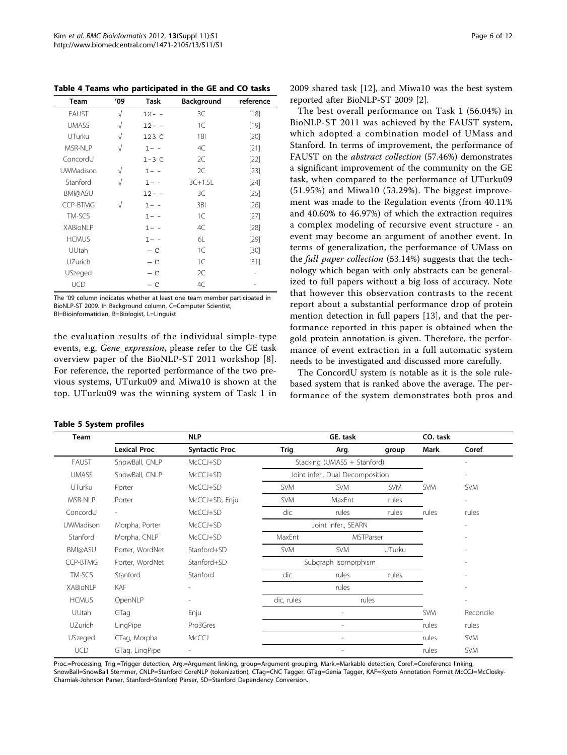<span id="page-5-0"></span>Table 4 Teams who participated in the GE and CO tasks

| Team             | '09       | Task     | Background | reference |
|------------------|-----------|----------|------------|-----------|
| <b>FAUST</b>     | $\sqrt{}$ | $12 - -$ | 3C         | $[18]$    |
| <b>UMASS</b>     | $\sqrt{}$ | $12 - -$ | 1C         | $[19]$    |
| UTurku           | $\sqrt{}$ | 123 C    | 1BI        | [20]      |
| MSR-NI P         | $\sqrt{}$ | $1 - -$  | 4C         | [21]      |
| ConcordU         |           | $1-3C$   | 2C         | $[22]$    |
| <b>UWMadison</b> | $\sqrt{}$ | $1 - -$  | 2C         | $[23]$    |
| Stanford         | $\sqrt{}$ | $1 - -$  | $3C+1.5L$  | $[24]$    |
| <b>BMI@ASU</b>   |           | $12 - -$ | 3C         | $[25]$    |
| <b>CCP-BTMG</b>  | $\sqrt{}$ | $1 - -$  | 3BI        | [26]      |
| TM-SCS           |           | $1 - -$  | 1C         | $[27]$    |
| <b>XABioNIP</b>  |           | $1 - -$  | 4C         | $[28]$    |
| <b>HCMUS</b>     |           | $1 - -$  | 61         | $[29]$    |
| UUtah            |           | $- C$    | 1C         | [30]      |
| UZurich          |           | $- C$    | 1C         | [31]      |
| USzeged          |           | $- C$    | 2C         |           |
| <b>UCD</b>       |           | $- c$    | 4C         |           |

The '09 column indicates whether at least one team member participated in BioNLP-ST 2009. In Background column, C=Computer Scientist, BI=Bioinformatician, B=Biologist, L=Linguist

the evaluation results of the individual simple-type events, e.g. Gene\_expression, please refer to the GE task overview paper of the BioNLP-ST 2011 workshop [[8](#page-11-0)]. For reference, the reported performance of the two previous systems, UTurku09 and Miwa10 is shown at the top. UTurku09 was the winning system of Task 1 in

#### Table 5 System profiles

2009 shared task [[12\]](#page-11-0), and Miwa10 was the best system reported after BioNLP-ST 2009 [\[2](#page-11-0)].

The best overall performance on Task 1 (56.04%) in BioNLP-ST 2011 was achieved by the FAUST system, which adopted a combination model of UMass and Stanford. In terms of improvement, the performance of FAUST on the abstract collection (57.46%) demonstrates a significant improvement of the community on the GE task, when compared to the performance of UTurku09 (51.95%) and Miwa10 (53.29%). The biggest improvement was made to the Regulation events (from 40.11% and 40.60% to 46.97%) of which the extraction requires a complex modeling of recursive event structure - an event may become an argument of another event. In terms of generalization, the performance of UMass on the full paper collection (53.14%) suggests that the technology which began with only abstracts can be generalized to full papers without a big loss of accuracy. Note that however this observation contrasts to the recent report about a substantial performance drop of protein mention detection in full papers [[13\]](#page-11-0), and that the performance reported in this paper is obtained when the gold protein annotation is given. Therefore, the performance of event extraction in a full automatic system needs to be investigated and discussed more carefully.

The ConcordU system is notable as it is the sole rulebased system that is ranked above the average. The performance of the system demonstrates both pros and

| Team             |                          | <b>NLP</b>             |                     | GE. task                         |            | CO. task   |                |
|------------------|--------------------------|------------------------|---------------------|----------------------------------|------------|------------|----------------|
|                  | Lexical Proc.            | <b>Syntactic Proc.</b> | Trig.               | Arg.                             | group      | Mark.      | Coref.         |
| <b>FAUST</b>     | SnowBall, CNLP           | McCCJ+SD               |                     | Stacking (UMASS + Stanford)      |            |            |                |
| <b>UMASS</b>     | SnowBall, CNLP           | McCCJ+SD               |                     | Joint infer., Dual Decomposition |            |            |                |
| UTurku           | Porter                   | McCCJ+SD               | <b>SVM</b>          | <b>SVM</b>                       | <b>SVM</b> | <b>SVM</b> | <b>SVM</b>     |
| MSR-NLP          | Porter                   | McCCJ+SD, Enju         | <b>SVM</b>          | MaxEnt                           | rules      |            | $\overline{a}$ |
| ConcordU         | $\overline{\phantom{a}}$ | McCCJ+SD               | dic                 | rules                            | rules      | rules      | rules          |
| <b>UWMadison</b> | Morpha, Porter           | McCCJ+SD               |                     | Joint infer., SEARN              |            |            |                |
| Stanford         | Morpha, CNLP             | McCCJ+SD               | MSTParser<br>MaxEnt |                                  |            |            |                |
| BMI@ASU          | Porter, WordNet          | Stanford+SD            | <b>SVM</b>          | <b>SVM</b>                       | UTurku     |            |                |
| CCP-BTMG         | Porter, WordNet          | Stanford+SD            |                     | Subgraph Isomorphism             |            |            |                |
| TM-SCS           | Stanford                 | Stanford               | dic                 | rules                            | rules      |            |                |
| <b>XABioNLP</b>  | <b>KAF</b>               |                        |                     | rules                            |            |            |                |
| <b>HCMUS</b>     | OpenNLP                  |                        | dic, rules          | rules                            |            |            |                |
| UUtah            | GTag                     | Enju                   |                     |                                  |            | <b>SVM</b> | Reconcile      |
| UZurich          | LingPipe                 | Pro3Gres               |                     |                                  |            | rules      | rules          |
| USzeged          | CTag, Morpha             | McCCJ                  |                     |                                  |            | rules      | <b>SVM</b>     |
| <b>UCD</b>       | GTag, LingPipe           |                        |                     |                                  |            | rules      | <b>SVM</b>     |

Proc.=Processing, Trig.=Trigger detection, Arg.=Argument linking, group=Argument grouping, Mark.=Markable detection, Coref.=Coreference linking, SnowBall=SnowBall Stemmer, CNLP=Stanford CoreNLP (tokenization), CTag=CNC Tagger, GTag=Genia Tagger, KAF=Kyoto Annotation Format McCCJ=McClosky-Charniak-Johnson Parser, Stanford=Stanford Parser, SD=Stanford Dependency Conversion.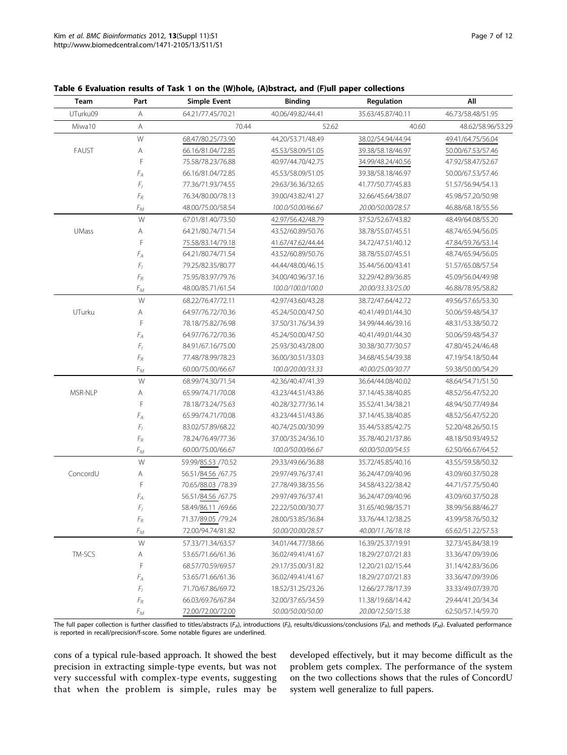| Team         | Part                                     | <b>Simple Event</b> | <b>Binding</b>    | Regulation        | Αll               |
|--------------|------------------------------------------|---------------------|-------------------|-------------------|-------------------|
| UTurku09     | Α                                        | 64.21/77.45/70.21   | 40.06/49.82/44.41 | 35.63/45.87/40.11 | 46.73/58.48/51.95 |
| Miwa10       | Α                                        | 70.44               | 52.62             | 40.60             | 48.62/58.96/53.29 |
|              | ${\mathsf W}$                            | 68.47/80.25/73.90   | 44.20/53.71/48.49 | 38.02/54.94/44.94 | 49.41/64.75/56.04 |
| FAUST        | Α                                        | 66.16/81.04/72.85   | 45.53/58.09/51.05 | 39.38/58.18/46.97 | 50.00/67.53/57.46 |
|              | F                                        | 75.58/78.23/76.88   | 40.97/44.70/42.75 | 34.99/48.24/40.56 | 47.92/58.47/52.67 |
|              | $F_A$                                    | 66.16/81.04/72.85   | 45.53/58.09/51.05 | 39.38/58.18/46.97 | 50.00/67.53/57.46 |
|              | $\mathcal{F}_I$                          | 77.36/71.93/74.55   | 29.63/36.36/32.65 | 41.77/50.77/45.83 | 51.57/56.94/54.13 |
|              | $F_R$                                    | 76.34/80.00/78.13   | 39.00/43.82/41.27 | 32.66/45.64/38.07 | 45.98/57.20/50.98 |
|              | $F_M$                                    | 48.00/75.00/58.54   | 100.0/50.00/66.67 | 20.00/50.00/28.57 | 46.88/68.18/55.56 |
|              | W                                        | 67.01/81.40/73.50   | 42.97/56.42/48.79 | 37.52/52.67/43.82 | 48.49/64.08/55.20 |
| <b>UMass</b> | Α                                        | 64.21/80.74/71.54   | 43.52/60.89/50.76 | 38.78/55.07/45.51 | 48.74/65.94/56.05 |
|              | F                                        | 75.58/83.14/79.18   | 41.67/47.62/44.44 | 34.72/47.51/40.12 | 47.84/59.76/53.14 |
|              | $F_{A}$                                  | 64.21/80.74/71.54   | 43.52/60.89/50.76 | 38.78/55.07/45.51 | 48.74/65.94/56.05 |
|              | ${\cal F}_I$                             | 79.25/82.35/80.77   | 44.44/48.00/46.15 | 35.44/56.00/43.41 | 51.57/65.08/57.54 |
|              | $\mathnormal{\mathcal{F}}_{\mathcal{R}}$ | 75.95/83.97/79.76   | 34.00/40.96/37.16 | 32.29/42.89/36.85 | 45.09/56.04/49.98 |
|              | $F_M$                                    | 48.00/85.71/61.54   | 100.0/100.0/100.0 | 20.00/33.33/25.00 | 46.88/78.95/58.82 |
|              | W                                        | 68.22/76.47/72.11   | 42.97/43.60/43.28 | 38.72/47.64/42.72 | 49.56/57.65/53.30 |
| UTurku       | Α                                        | 64.97/76.72/70.36   | 45.24/50.00/47.50 | 40.41/49.01/44.30 | 50.06/59.48/54.37 |
|              | F                                        | 78.18/75.82/76.98   | 37.50/31.76/34.39 | 34.99/44.46/39.16 | 48.31/53.38/50.72 |
|              | $F_{A}$                                  | 64.97/76.72/70.36   | 45.24/50.00/47.50 | 40.41/49.01/44.30 | 50.06/59.48/54.37 |
|              | $\mathcal{F}_I$                          | 84.91/67.16/75.00   | 25.93/30.43/28.00 | 30.38/30.77/30.57 | 47.80/45.24/46.48 |
|              | $\mathcal{F}_R$                          | 77.48/78.99/78.23   | 36.00/30.51/33.03 | 34.68/45.54/39.38 | 47.19/54.18/50.44 |
|              | $F_M$                                    | 60.00/75.00/66.67   | 100.0/20.00/33.33 | 40.00/25.00/30.77 | 59.38/50.00/54.29 |
|              | W                                        | 68.99/74.30/71.54   | 42.36/40.47/41.39 | 36.64/44.08/40.02 | 48.64/54.71/51.50 |
| MSR-NLP      | Α                                        | 65.99/74.71/70.08   | 43.23/44.51/43.86 | 37.14/45.38/40.85 | 48.52/56.47/52.20 |
|              | F                                        | 78.18/73.24/75.63   | 40.28/32.77/36.14 | 35.52/41.34/38.21 | 48.94/50.77/49.84 |
|              | $F_{A}$                                  | 65.99/74.71/70.08   | 43.23/44.51/43.86 | 37.14/45.38/40.85 | 48.52/56.47/52.20 |
|              | ${\cal F}_I$                             | 83.02/57.89/68.22   | 40.74/25.00/30.99 | 35.44/53.85/42.75 | 52.20/48.26/50.15 |
|              | $\mathnormal{\mathcal{F}}_{\mathcal{R}}$ | 78.24/76.49/77.36   | 37.00/35.24/36.10 | 35.78/40.21/37.86 | 48.18/50.93/49.52 |
|              | $F_M$                                    | 60.00/75.00/66.67   | 100.0/50.00/66.67 | 60.00/50.00/54.55 | 62.50/66.67/64.52 |
|              | W                                        | 59.99/85.53 /70.52  | 29.33/49.66/36.88 | 35.72/45.85/40.16 | 43.55/59.58/50.32 |
| ConcordU     | Α                                        | 56.51/84.56 /67.75  | 29.97/49.76/37.41 | 36.24/47.09/40.96 | 43.09/60.37/50.28 |
|              | F                                        | 70.65/88.03 /78.39  | 27.78/49.38/35.56 | 34.58/43.22/38.42 | 44.71/57.75/50.40 |
|              | $F_{A}$                                  | 56.51/84.56 /67.75  | 29.97/49.76/37.41 | 36.24/47.09/40.96 | 43.09/60.37/50.28 |
|              | $F_I$                                    | 58.49/86.11 /69.66  | 22.22/50.00/30.77 | 31.65/40.98/35.71 | 38.99/56.88/46.27 |
|              | $F_{\mathcal{R}}$                        | 71.37/89.05 /79.24  | 28.00/53.85/36.84 | 33.76/44.12/38.25 | 43.99/58.76/50.32 |
|              | $F_M$                                    | 72.00/94.74/81.82   | 50.00/20.00/28.57 | 40.00/11.76/18.18 | 65.62/51.22/57.53 |
|              | W                                        | 57.33/71.34/63.57   | 34.01/44.77/38.66 | 16.39/25.37/19.91 | 32.73/45.84/38.19 |
| TM-SCS       | A                                        | 53.65/71.66/61.36   | 36.02/49.41/41.67 | 18.29/27.07/21.83 | 33.36/47.09/39.06 |
|              | F                                        | 68.57/70.59/69.57   | 29.17/35.00/31.82 | 12.20/21.02/15.44 | 31.14/42.83/36.06 |
|              | $F_{A}$                                  | 53.65/71.66/61.36   | 36.02/49.41/41.67 | 18.29/27.07/21.83 | 33.36/47.09/39.06 |
|              | $\mathcal{F}_I$                          | 71.70/67.86/69.72   | 18.52/31.25/23.26 | 12.66/27.78/17.39 | 33.33/49.07/39.70 |
|              | $\mathcal{F}_R$                          | 66.03/69.76/67.84   | 32.00/37.65/34.59 | 11.38/19.68/14.42 | 29.44/41.20/34.34 |
|              | $F_{\mathcal{M}}$                        | 72.00/72.00/72.00   | 50.00/50.00/50.00 | 20.00/12.50/15.38 | 62.50/57.14/59.70 |

## <span id="page-6-0"></span>Table 6 Evaluation results of Task 1 on the (W)hole, (A)bstract, and (F)ull paper collections

The full paper collection is further classified to titles/abstracts (F<sub>A</sub>), introductions (F<sub>A</sub>), results/dicussions/conclusions (F<sub>R</sub>), and methods (F<sub>M</sub>). Evaluated performance is reported in recall/precision/f-score. Some notable figures are underlined.

cons of a typical rule-based approach. It showed the best precision in extracting simple-type events, but was not very successful with complex-type events, suggesting that when the problem is simple, rules may be

developed effectively, but it may become difficult as the problem gets complex. The performance of the system on the two collections shows that the rules of ConcordU system well generalize to full papers.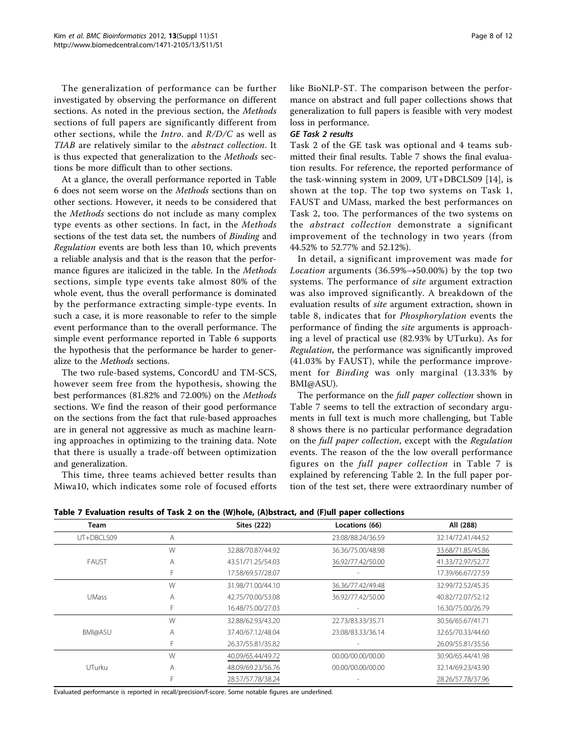The generalization of performance can be further investigated by observing the performance on different sections. As noted in the previous section, the Methods sections of full papers are significantly different from other sections, while the Intro. and R/D/C as well as TIAB are relatively similar to the abstract collection. It is thus expected that generalization to the Methods sections be more difficult than to other sections.

At a glance, the overall performance reported in Table [6](#page-6-0) does not seem worse on the Methods sections than on other sections. However, it needs to be considered that the Methods sections do not include as many complex type events as other sections. In fact, in the Methods sections of the test data set, the numbers of Binding and Regulation events are both less than 10, which prevents a reliable analysis and that is the reason that the performance figures are italicized in the table. In the *Methods* sections, simple type events take almost 80% of the whole event, thus the overall performance is dominated by the performance extracting simple-type events. In such a case, it is more reasonable to refer to the simple event performance than to the overall performance. The simple event performance reported in Table [6](#page-6-0) supports the hypothesis that the performance be harder to generalize to the Methods sections.

The two rule-based systems, ConcordU and TM-SCS, however seem free from the hypothesis, showing the best performances (81.82% and 72.00%) on the Methods sections. We find the reason of their good performance on the sections from the fact that rule-based approaches are in general not aggressive as much as machine learning approaches in optimizing to the training data. Note that there is usually a trade-off between optimization and generalization.

This time, three teams achieved better results than Miwa10, which indicates some role of focused efforts like BioNLP-ST. The comparison between the performance on abstract and full paper collections shows that generalization to full papers is feasible with very modest loss in performance.

## GE Task 2 results

Task 2 of the GE task was optional and 4 teams submitted their final results. Table 7 shows the final evaluation results. For reference, the reported performance of the task-winning system in 2009, UT+DBCLS09 [\[14](#page-11-0)], is shown at the top. The top two systems on Task 1, FAUST and UMass, marked the best performances on Task 2, too. The performances of the two systems on the abstract collection demonstrate a significant improvement of the technology in two years (from 44.52% to 52.77% and 52.12%).

In detail, a significant improvement was made for *Location* arguments (36.59% $\rightarrow$ 50.00%) by the top two systems. The performance of site argument extraction was also improved significantly. A breakdown of the evaluation results of site argument extraction, shown in table [8,](#page-8-0) indicates that for Phosphorylation events the performance of finding the site arguments is approaching a level of practical use (82.93% by UTurku). As for Regulation, the performance was significantly improved (41.03% by FAUST), while the performance improvement for Binding was only marginal (13.33% by BMI@ASU).

The performance on the *full paper collection* shown in Table 7 seems to tell the extraction of secondary arguments in full text is much more challenging, but Table [8](#page-8-0) shows there is no particular performance degradation on the full paper collection, except with the Regulation events. The reason of the the low overall performance figures on the full paper collection in Table 7 is explained by referencing Table [2.](#page-3-0) In the full paper portion of the test set, there were extraordinary number of

 $T_{\text{V}}$  Evaluation results of Task 2 on the (W)hole, (A)bstract, and (F)ull paper collections

| Team           |   | <b>Sites (222)</b> | Locations (66)    | All (288)         |
|----------------|---|--------------------|-------------------|-------------------|
| UT+DBCLS09     | A |                    | 23.08/88.24/36.59 | 32.14/72.41/44.52 |
|                | W | 32.88/70.87/44.92  | 36.36/75.00/48.98 | 33.68/71.85/45.86 |
| <b>FAUST</b>   | Α | 43.51/71.25/54.03  | 36.92/77.42/50.00 | 41.33/72.97/52.77 |
|                |   | 17.58/69.57/28.07  |                   | 17.39/66.67/27.59 |
|                | W | 31.98/71.00/44.10  | 36.36/77.42/49.48 | 32.99/72.52/45.35 |
| <b>UMass</b>   | A | 42.75/70.00/53.08  | 36.92/77.42/50.00 | 40.82/72.07/52.12 |
|                |   | 16.48/75.00/27.03  |                   | 16.30/75.00/26.79 |
|                | W | 32.88/62.93/43.20  | 22.73/83.33/35.71 | 30.56/65.67/41.71 |
| <b>BMI@ASU</b> | A | 37.40/67.12/48.04  | 23.08/83.33/36.14 | 32.65/70.33/44.60 |
|                | F | 26.37/55.81/35.82  |                   | 26.09/55.81/35.56 |
|                | W | 40.09/65.44/49.72  | 00.00/00.00/00.00 | 30.90/65.44/41.98 |
| UTurku         | Α | 48.09/69.23/56.76  | 00.00/00.00/00.00 | 32.14/69.23/43.90 |
|                |   | 28.57/57.78/38.24  |                   | 28.26/57.78/37.96 |

Evaluated performance is reported in recall/precision/f-score. Some notable figures are underlined.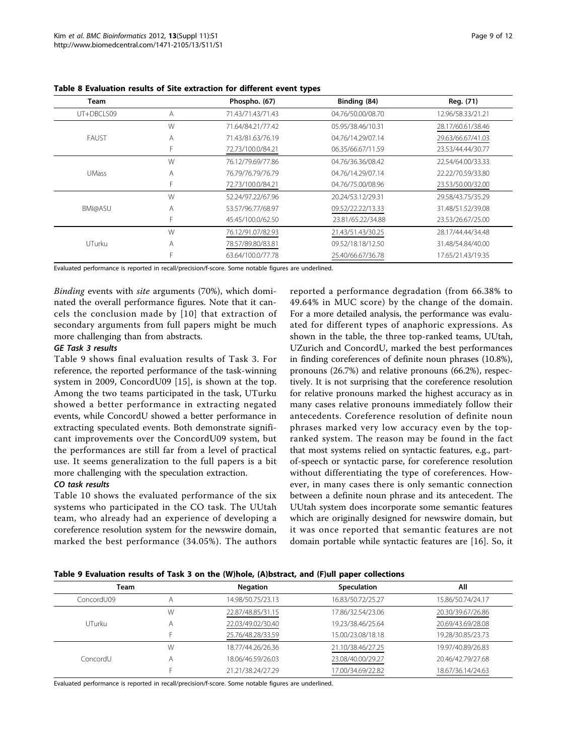| <b>Team</b>  |   | Phospho. (67)     | Binding (84)      | Reg. (71)         |
|--------------|---|-------------------|-------------------|-------------------|
| UT+DBCLS09   | Α | 71.43/71.43/71.43 | 04.76/50.00/08.70 | 12.96/58.33/21.21 |
|              | W | 71.64/84.21/77.42 | 05.95/38.46/10.31 | 28.17/60.61/38.46 |
| <b>FAUST</b> | Α | 71.43/81.63/76.19 | 04.76/14.29/07.14 | 29.63/66.67/41.03 |
|              | F | 72.73/100.0/84.21 | 06.35/66.67/11.59 | 23.53/44.44/30.77 |
|              | W | 76.12/79.69/77.86 | 04.76/36.36/08.42 | 22.54/64.00/33.33 |
| <b>UMass</b> | Α | 76.79/76.79/76.79 | 04.76/14.29/07.14 | 22.22/70.59/33.80 |
|              | F | 72.73/100.0/84.21 | 04.76/75.00/08.96 | 23.53/50.00/32.00 |
|              | W | 52.24/97.22/67.96 | 20.24/53.12/29.31 | 29.58/43.75/35.29 |
| BMI@ASU      | A | 53.57/96.77/68.97 | 09.52/22.22/13.33 | 31.48/51.52/39.08 |
|              | F | 45.45/100.0/62.50 | 23.81/65.22/34.88 | 23.53/26.67/25.00 |
|              | W | 76.12/91.07/82.93 | 21.43/51.43/30.25 | 28.17/44.44/34.48 |
| UTurku       | Α | 78.57/89.80/83.81 | 09.52/18.18/12.50 | 31.48/54.84/40.00 |
|              |   | 63.64/100.0/77.78 | 25.40/66.67/36.78 | 17.65/21.43/19.35 |

<span id="page-8-0"></span>Table 8 Evaluation results of Site extraction for different event types

Evaluated performance is reported in recall/precision/f-score. Some notable figures are underlined.

Binding events with site arguments (70%), which dominated the overall performance figures. Note that it cancels the conclusion made by [[10\]](#page-11-0) that extraction of secondary arguments from full papers might be much more challenging than from abstracts.

## GE Task 3 results

Table 9 shows final evaluation results of Task 3. For reference, the reported performance of the task-winning system in 2009, ConcordU09 [[15\]](#page-11-0), is shown at the top. Among the two teams participated in the task, UTurku showed a better performance in extracting negated events, while ConcordU showed a better performance in extracting speculated events. Both demonstrate significant improvements over the ConcordU09 system, but the performances are still far from a level of practical use. It seems generalization to the full papers is a bit more challenging with the speculation extraction.

## CO task results

Table [10](#page-9-0) shows the evaluated performance of the six systems who participated in the CO task. The UUtah team, who already had an experience of developing a coreference resolution system for the newswire domain, marked the best performance (34.05%). The authors

reported a performance degradation (from 66.38% to 49.64% in MUC score) by the change of the domain. For a more detailed analysis, the performance was evaluated for different types of anaphoric expressions. As shown in the table, the three top-ranked teams, UUtah, UZurich and ConcordU, marked the best performances in finding coreferences of definite noun phrases (10.8%), pronouns (26.7%) and relative pronouns (66.2%), respectively. It is not surprising that the coreference resolution for relative pronouns marked the highest accuracy as in many cases relative pronouns immediately follow their antecedents. Coreference resolution of definite noun phrases marked very low accuracy even by the topranked system. The reason may be found in the fact that most systems relied on syntactic features, e.g., partof-speech or syntactic parse, for coreference resolution without differentiating the type of coreferences. However, in many cases there is only semantic connection between a definite noun phrase and its antecedent. The UUtah system does incorporate some semantic features which are originally designed for newswire domain, but it was once reported that semantic features are not domain portable while syntactic features are [[16\]](#page-11-0). So, it

| Table 9 Evaluation results of Task 3 on the (W)hole, (A)bstract, and (F)ull paper collections |  |  |  |  |
|-----------------------------------------------------------------------------------------------|--|--|--|--|
|-----------------------------------------------------------------------------------------------|--|--|--|--|

| Team       |   | <b>Negation</b>   | Speculation       | All               |
|------------|---|-------------------|-------------------|-------------------|
| ConcordU09 |   | 14.98/50.75/23.13 | 16.83/50.72/25.27 | 15.86/50.74/24.17 |
|            | W | 22.87/48.85/31.15 | 17.86/32.54/23.06 | 20.30/39.67/26.86 |
| UTurku     |   | 22.03/49.02/30.40 | 19.23/38.46/25.64 | 20.69/43.69/28.08 |
|            |   | 25.76/48.28/33.59 | 15.00/23.08/18.18 | 19.28/30.85/23.73 |
|            | W | 18.77/44.26/26.36 | 21.10/38.46/27.25 | 19.97/40.89/26.83 |
| ConcordU   | Α | 18.06/46.59/26.03 | 23.08/40.00/29.27 | 20.46/42.79/27.68 |
|            |   | 21.21/38.24/27.29 | 17.00/34.69/22.82 | 18.67/36.14/24.63 |
|            |   |                   |                   |                   |

Evaluated performance is reported in recall/precision/f-score. Some notable figures are underlined.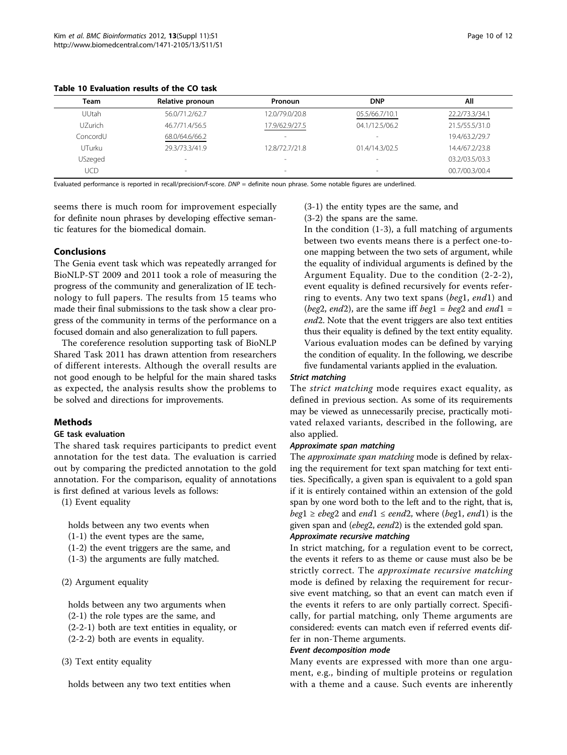<span id="page-9-0"></span>Table 10 Evaluation results of the CO task

| Team         | Relative pronoun         | Pronoun                  | <b>DNP</b>               | ΑIΙ            |
|--------------|--------------------------|--------------------------|--------------------------|----------------|
| <b>UUtah</b> | 56.0/71.2/62.7           | 12.0/79.0/20.8           | 05.5/66.7/10.1           | 22.2/73.3/34.1 |
| UZurich.     | 46.7/71.4/56.5           | 17.9/62.9/27.5           | 04.1/12.5/06.2           | 21.5/55.5/31.0 |
| ConcordU     | 68.0/64.6/66.2           | $\overline{\phantom{a}}$ | $\overline{\phantom{a}}$ | 19.4/63.2/29.7 |
| UTurku       | 29.3/73.3/41.9           | 12.8/72.7/21.8           | 01.4/14.3/02.5           | 14.4/67.2/23.8 |
| USzeged      | $\overline{\phantom{a}}$ |                          | -                        | 03.2/03.5/03.3 |
|              |                          |                          |                          |                |

UCD 00.7/00.3/00.4

Evaluated performance is reported in recall/precision/f-score.  $DNP =$  definite noun phrase. Some notable figures are underlined.

seems there is much room for improvement especially for definite noun phrases by developing effective semantic features for the biomedical domain.

# Conclusions

The Genia event task which was repeatedly arranged for BioNLP-ST 2009 and 2011 took a role of measuring the progress of the community and generalization of IE technology to full papers. The results from 15 teams who made their final submissions to the task show a clear progress of the community in terms of the performance on a focused domain and also generalization to full papers.

The coreference resolution supporting task of BioNLP Shared Task 2011 has drawn attention from researchers of different interests. Although the overall results are not good enough to be helpful for the main shared tasks as expected, the analysis results show the problems to be solved and directions for improvements.

## Methods

### GE task evaluation

The shared task requires participants to predict event annotation for the test data. The evaluation is carried out by comparing the predicted annotation to the gold annotation. For the comparison, equality of annotations is first defined at various levels as follows:

(1) Event equality

holds between any two events when

- (1-1) the event types are the same,
- (1-2) the event triggers are the same, and
- (1-3) the arguments are fully matched.

## (2) Argument equality

holds between any two arguments when (2-1) the role types are the same, and

- (2-2-1) both are text entities in equality, or
- (2-2-2) both are events in equality.

(3) Text entity equality

holds between any two text entities when

(3-1) the entity types are the same, and (3-2) the spans are the same.

In the condition (1-3), a full matching of arguments between two events means there is a perfect one-toone mapping between the two sets of argument, while the equality of individual arguments is defined by the Argument Equality. Due to the condition (2-2-2), event equality is defined recursively for events referring to events. Any two text spans (beg1, end1) and (beg2, end2), are the same iff beg1 = beg2 and end1 = end2. Note that the event triggers are also text entities thus their equality is defined by the text entity equality. Various evaluation modes can be defined by varying the condition of equality. In the following, we describe five fundamental variants applied in the evaluation.

# Strict matching

The *strict matching* mode requires exact equality, as defined in previous section. As some of its requirements may be viewed as unnecessarily precise, practically motivated relaxed variants, described in the following, are also applied.

### Approximate span matching

The *approximate span matching* mode is defined by relaxing the requirement for text span matching for text entities. Specifically, a given span is equivalent to a gold span if it is entirely contained within an extension of the gold span by one word both to the left and to the right, that is,  $beg1 \ge ebeg2$  and end1  $\le e$ end2, where (beg1, end1) is the given span and (ebeg2, eend2) is the extended gold span.

# Approximate recursive matching

In strict matching, for a regulation event to be correct, the events it refers to as theme or cause must also be be strictly correct. The approximate recursive matching mode is defined by relaxing the requirement for recursive event matching, so that an event can match even if the events it refers to are only partially correct. Specifically, for partial matching, only Theme arguments are considered: events can match even if referred events differ in non-Theme arguments.

## Event decomposition mode

Many events are expressed with more than one argument, e.g., binding of multiple proteins or regulation with a theme and a cause. Such events are inherently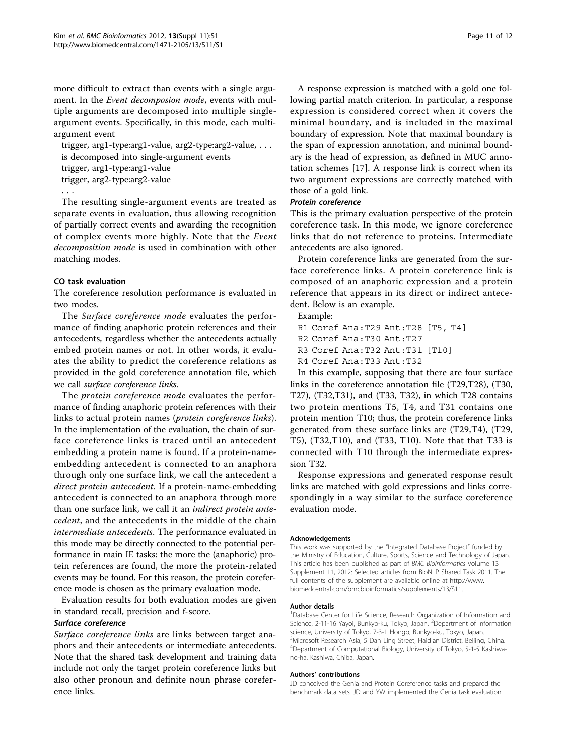more difficult to extract than events with a single argument. In the Event decomposion mode, events with multiple arguments are decomposed into multiple singleargument events. Specifically, in this mode, each multiargument event

trigger, arg1-type:arg1-value, arg2-type:arg2-value, . . . is decomposed into single-argument events trigger, arg1-type:arg1-value trigger, arg2-type:arg2-value

...

The resulting single-argument events are treated as separate events in evaluation, thus allowing recognition of partially correct events and awarding the recognition of complex events more highly. Note that the Event decomposition mode is used in combination with other matching modes.

## CO task evaluation

The coreference resolution performance is evaluated in two modes.

The Surface coreference mode evaluates the performance of finding anaphoric protein references and their antecedents, regardless whether the antecedents actually embed protein names or not. In other words, it evaluates the ability to predict the coreference relations as provided in the gold coreference annotation file, which we call surface coreference links.

The protein coreference mode evaluates the performance of finding anaphoric protein references with their links to actual protein names (protein coreference links). In the implementation of the evaluation, the chain of surface coreference links is traced until an antecedent embedding a protein name is found. If a protein-nameembedding antecedent is connected to an anaphora through only one surface link, we call the antecedent a direct protein antecedent. If a protein-name-embedding antecedent is connected to an anaphora through more than one surface link, we call it an *indirect protein ante*cedent, and the antecedents in the middle of the chain intermediate antecedents. The performance evaluated in this mode may be directly connected to the potential performance in main IE tasks: the more the (anaphoric) protein references are found, the more the protein-related events may be found. For this reason, the protein coreference mode is chosen as the primary evaluation mode.

Evaluation results for both evaluation modes are given in standard recall, precision and f-score.

### Surface coreference

Surface coreference links are links between target anaphors and their antecedents or intermediate antecedents. Note that the shared task development and training data include not only the target protein coreference links but also other pronoun and definite noun phrase coreference links.

A response expression is matched with a gold one following partial match criterion. In particular, a response expression is considered correct when it covers the minimal boundary, and is included in the maximal boundary of expression. Note that maximal boundary is the span of expression annotation, and minimal boundary is the head of expression, as defined in MUC annotation schemes [\[17](#page-11-0)]. A response link is correct when its two argument expressions are correctly matched with those of a gold link.

## Protein coreference

This is the primary evaluation perspective of the protein coreference task. In this mode, we ignore coreference links that do not reference to proteins. Intermediate antecedents are also ignored.

Protein coreference links are generated from the surface coreference links. A protein coreference link is composed of an anaphoric expression and a protein reference that appears in its direct or indirect antecedent. Below is an example.

Example:

- R1 Coref Ana: T29 Ant: T28 [T5, T4]<br>R2 Coref Ana: T30 Ant: T27
- 
- R3 Coref Ana: T32 Ant: T31 [T10]

R4 Coref Ana: T33 Ant: T32

In this example, supposing that there are four surface links in the coreference annotation file (T29,T28), (T30, T27), (T32,T31), and (T33, T32), in which T28 contains two protein mentions T5, T4, and T31 contains one protein mention T10; thus, the protein coreference links generated from these surface links are (T29,T4), (T29, T5), (T32,T10), and (T33, T10). Note that that T33 is connected with T10 through the intermediate expression T32.

Response expressions and generated response result links are matched with gold expressions and links correspondingly in a way similar to the surface coreference evaluation mode.

#### Acknowledgements

This work was supported by the "Integrated Database Project" funded by the Ministry of Education, Culture, Sports, Science and Technology of Japan. This article has been published as part of BMC Bioinformatics Volume 13 Supplement 11, 2012: Selected articles from BioNLP Shared Task 2011. The full contents of the supplement are available online at [http://www.](http://www.biomedcentral.com/bmcbioinformatics/supplements/13/S11) [biomedcentral.com/bmcbioinformatics/supplements/13/S11](http://www.biomedcentral.com/bmcbioinformatics/supplements/13/S11).

#### Author details

<sup>1</sup>Database Center for Life Science, Research Organization of Information and Science, 2-11-16 Yayoi, Bunkyo-ku, Tokyo, Japan. <sup>2</sup>Department of Information science, University of Tokyo, 7-3-1 Hongo, Bunkyo-ku, Tokyo, Japan. <sup>3</sup>Microsoft Research Asia, 5 Dan Ling Street, Haidian District, Beijing, China. 4 Department of Computational Biology, University of Tokyo, 5-1-5 Kashiwano-ha, Kashiwa, Chiba, Japan.

#### Authors' contributions

JD conceived the Genia and Protein Coreference tasks and prepared the benchmark data sets. JD and YW implemented the Genia task evaluation